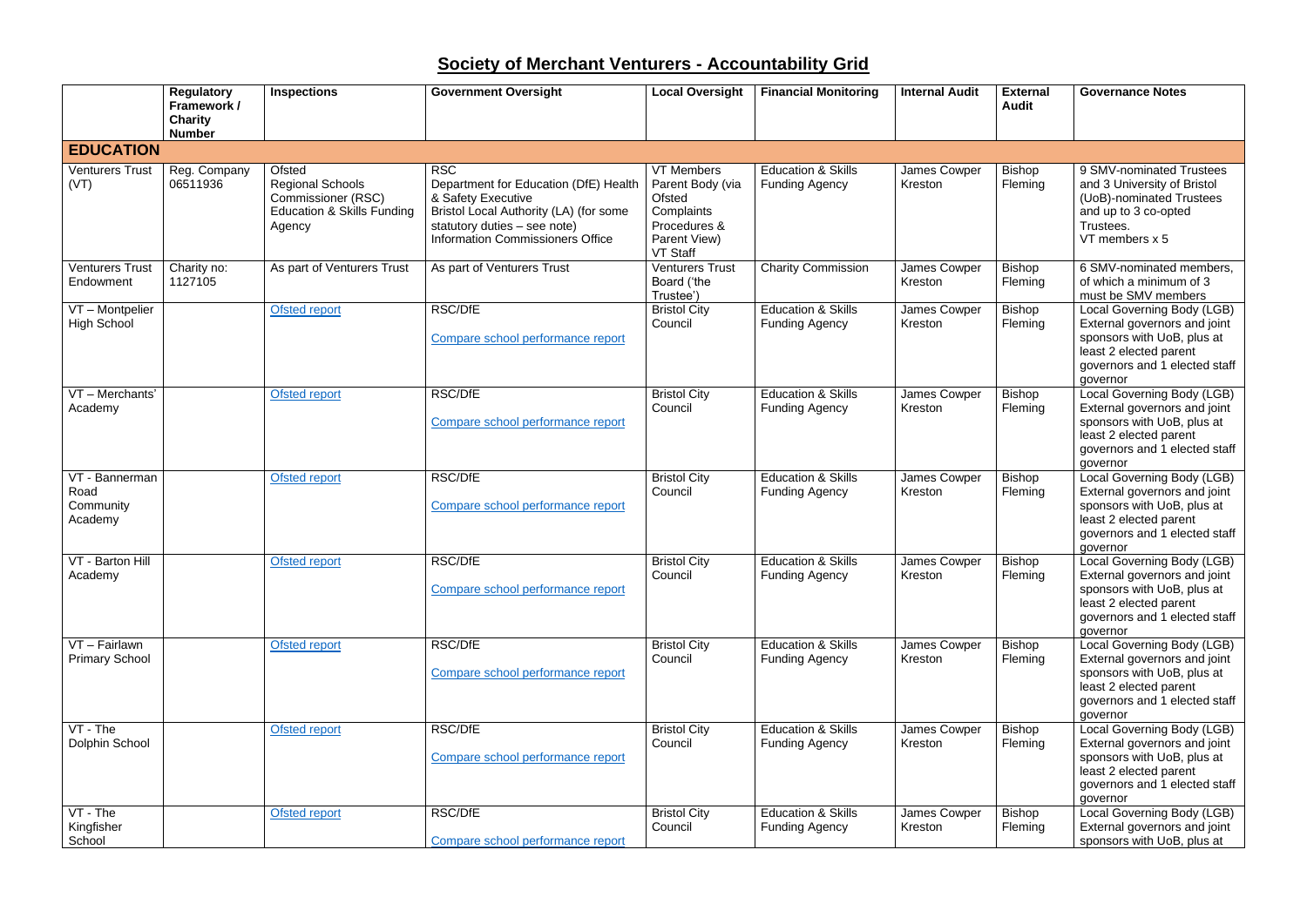## **Society of Merchant Venturers - Accountability Grid**

|                                                | <b>Regulatory</b><br>Framework /<br><b>Charity</b><br><b>Number</b> | <b>Inspections</b>                                                                                                | <b>Government Oversight</b>                                                                                                                                                                    | <b>Local Oversight</b>                                                                                           | <b>Financial Monitoring</b>                            | <b>Internal Audit</b>          | <b>External</b><br><b>Audit</b> | <b>Governance Notes</b>                                                                                                                                         |
|------------------------------------------------|---------------------------------------------------------------------|-------------------------------------------------------------------------------------------------------------------|------------------------------------------------------------------------------------------------------------------------------------------------------------------------------------------------|------------------------------------------------------------------------------------------------------------------|--------------------------------------------------------|--------------------------------|---------------------------------|-----------------------------------------------------------------------------------------------------------------------------------------------------------------|
| <b>EDUCATION</b>                               |                                                                     |                                                                                                                   |                                                                                                                                                                                                |                                                                                                                  |                                                        |                                |                                 |                                                                                                                                                                 |
| <b>Venturers Trust</b><br>(VT)                 | Reg. Company<br>06511936                                            | Ofsted<br><b>Regional Schools</b><br><b>Commissioner (RSC)</b><br><b>Education &amp; Skills Funding</b><br>Agency | <b>RSC</b><br>Department for Education (DfE) Health<br>& Safety Executive<br>Bristol Local Authority (LA) (for some<br>statutory duties - see note)<br><b>Information Commissioners Office</b> | <b>VT Members</b><br>Parent Body (via<br>Ofsted<br>Complaints<br>Procedures &<br>Parent View)<br><b>VT Staff</b> | <b>Education &amp; Skills</b><br><b>Funding Agency</b> | James Cowper<br>Kreston        | <b>Bishop</b><br>Fleming        | 9 SMV-nominated Trustees<br>and 3 University of Bristol<br>(UoB)-nominated Trustees<br>and up to 3 co-opted<br>Trustees.<br>VT members x 5                      |
| <b>Venturers Trust</b><br>Endowment            | Charity no:<br>1127105                                              | As part of Venturers Trust                                                                                        | As part of Venturers Trust                                                                                                                                                                     | <b>Venturers Trust</b><br>Board ('the<br>Trustee')                                                               | <b>Charity Commission</b>                              | James Cowper<br>Kreston        | <b>Bishop</b><br>Fleming        | 6 SMV-nominated members,<br>of which a minimum of 3<br>must be SMV members                                                                                      |
| VT - Montpelier<br><b>High School</b>          |                                                                     | <b>Ofsted report</b>                                                                                              | RSC/DfE<br>Compare school performance report                                                                                                                                                   | <b>Bristol City</b><br>Council                                                                                   | <b>Education &amp; Skills</b><br><b>Funding Agency</b> | <b>James Cowper</b><br>Kreston | <b>Bishop</b><br>Fleming        | Local Governing Body (LGB)<br>External governors and joint<br>sponsors with UoB, plus at<br>least 2 elected parent<br>governors and 1 elected staff<br>governor |
| VT - Merchants'<br>Academy                     |                                                                     | <b>Ofsted report</b>                                                                                              | RSC/DfE<br>Compare school performance report                                                                                                                                                   | <b>Bristol City</b><br>Council                                                                                   | <b>Education &amp; Skills</b><br><b>Funding Agency</b> | James Cowper<br>Kreston        | <b>Bishop</b><br>Fleming        | Local Governing Body (LGB)<br>External governors and joint<br>sponsors with UoB, plus at<br>least 2 elected parent<br>governors and 1 elected staff<br>governor |
| VT - Bannerman<br>Road<br>Community<br>Academy |                                                                     | Ofsted report                                                                                                     | RSC/DfE<br>Compare school performance report                                                                                                                                                   | <b>Bristol City</b><br>Council                                                                                   | <b>Education &amp; Skills</b><br><b>Funding Agency</b> | James Cowper<br>Kreston        | <b>Bishop</b><br>Fleming        | Local Governing Body (LGB)<br>External governors and joint<br>sponsors with UoB, plus at<br>least 2 elected parent<br>governors and 1 elected staff<br>governor |
| VT - Barton Hill<br>Academy                    |                                                                     | <b>Ofsted report</b>                                                                                              | RSC/DfE<br>Compare school performance report                                                                                                                                                   | <b>Bristol City</b><br>Council                                                                                   | <b>Education &amp; Skills</b><br><b>Funding Agency</b> | James Cowper<br>Kreston        | Bishop<br>Fleming               | Local Governing Body (LGB)<br>External governors and joint<br>sponsors with UoB, plus at<br>least 2 elected parent<br>governors and 1 elected staff<br>governor |
| VT - Fairlawn<br><b>Primary School</b>         |                                                                     | <b>Ofsted report</b>                                                                                              | RSC/DfE<br>Compare school performance report                                                                                                                                                   | <b>Bristol City</b><br>Council                                                                                   | <b>Education &amp; Skills</b><br><b>Funding Agency</b> | James Cowper<br>Kreston        | <b>Bishop</b><br>Fleming        | Local Governing Body (LGB)<br>External governors and joint<br>sponsors with UoB, plus at<br>least 2 elected parent<br>governors and 1 elected staff<br>aovernor |
| VT - The<br>Dolphin School                     |                                                                     | Ofsted report                                                                                                     | RSC/DfE<br>Compare school performance report                                                                                                                                                   | <b>Bristol City</b><br>Council                                                                                   | <b>Education &amp; Skills</b><br><b>Funding Agency</b> | James Cowper<br>Kreston        | <b>Bishop</b><br>Fleming        | Local Governing Body (LGB)<br>External governors and joint<br>sponsors with UoB, plus at<br>least 2 elected parent<br>governors and 1 elected staff<br>governor |
| VT - The<br>Kingfisher<br>School               |                                                                     | <b>Ofsted report</b>                                                                                              | <b>RSC/DfE</b><br>Compare school performance report                                                                                                                                            | <b>Bristol City</b><br>Council                                                                                   | <b>Education &amp; Skills</b><br><b>Funding Agency</b> | James Cowper<br>Kreston        | <b>Bishop</b><br>Fleming        | Local Governing Body (LGB)<br>External governors and joint<br>sponsors with UoB, plus at                                                                        |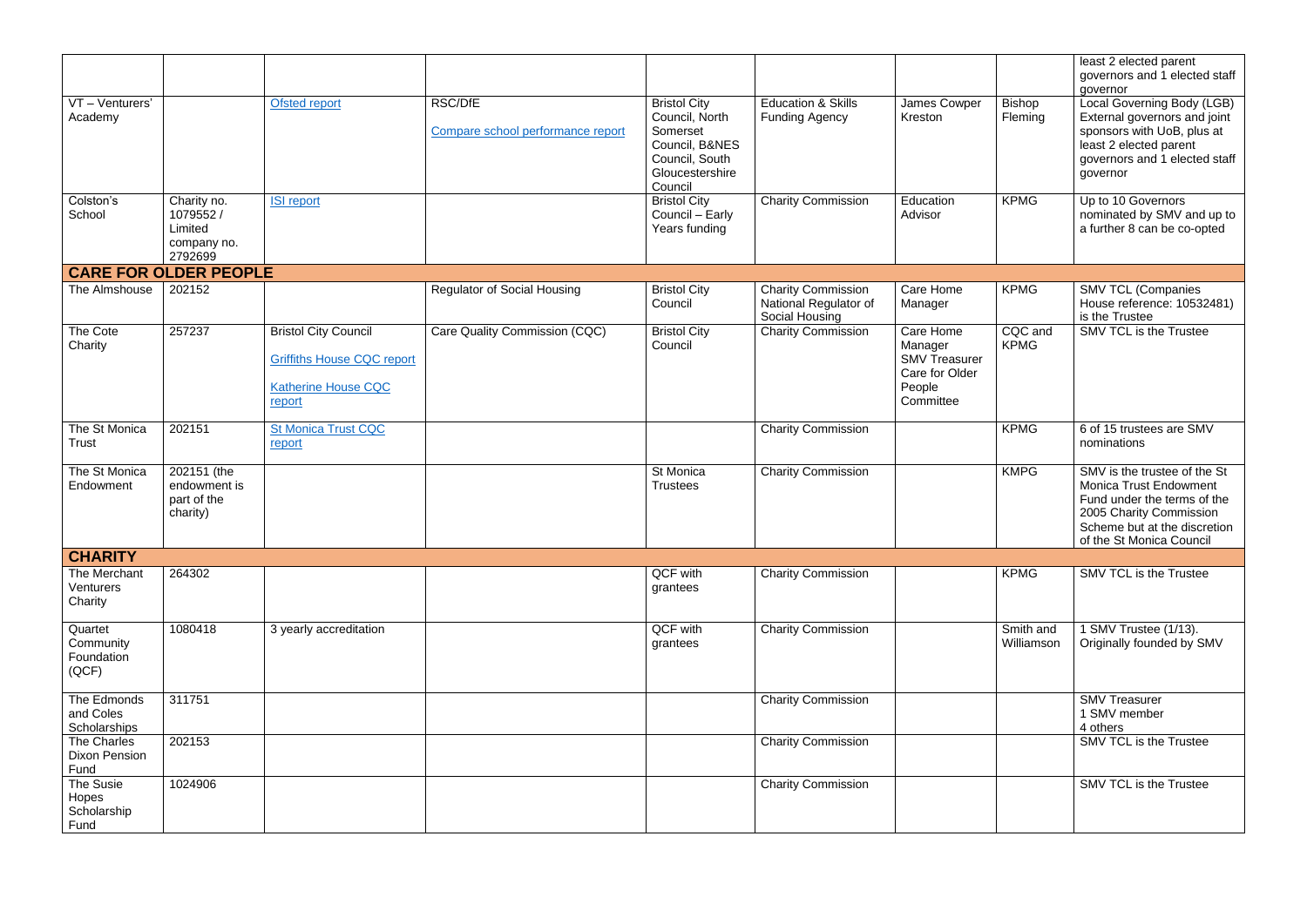|                                             |                                                               |                                                                                                          |                                                     |                                                                                                                     |                                                                      |                                                                                       |                          | least 2 elected parent<br>governors and 1 elected staff<br>governor                                                                                                                 |
|---------------------------------------------|---------------------------------------------------------------|----------------------------------------------------------------------------------------------------------|-----------------------------------------------------|---------------------------------------------------------------------------------------------------------------------|----------------------------------------------------------------------|---------------------------------------------------------------------------------------|--------------------------|-------------------------------------------------------------------------------------------------------------------------------------------------------------------------------------|
| VT - Venturers'<br>Academy                  |                                                               | <b>Ofsted report</b>                                                                                     | <b>RSC/DfE</b><br>Compare school performance report | <b>Bristol City</b><br>Council, North<br>Somerset<br>Council, B&NES<br>Council, South<br>Gloucestershire<br>Council | <b>Education &amp; Skills</b><br><b>Funding Agency</b>               | James Cowper<br>Kreston                                                               | <b>Bishop</b><br>Fleming | Local Governing Body (LGB)<br>External governors and joint<br>sponsors with UoB, plus at<br>least 2 elected parent<br>governors and 1 elected staff<br>governor                     |
| Colston's<br>School                         | Charity no.<br>1079552 /<br>Limited<br>company no.<br>2792699 | <b>ISI report</b>                                                                                        |                                                     | <b>Bristol City</b><br>Council - Early<br>Years funding                                                             | <b>Charity Commission</b>                                            | Education<br>Advisor                                                                  | <b>KPMG</b>              | Up to 10 Governors<br>nominated by SMV and up to<br>a further 8 can be co-opted                                                                                                     |
|                                             | <b>CARE FOR OLDER PEOPLE</b>                                  |                                                                                                          |                                                     |                                                                                                                     |                                                                      |                                                                                       |                          |                                                                                                                                                                                     |
| The Almshouse                               | 202152                                                        |                                                                                                          | <b>Regulator of Social Housing</b>                  | <b>Bristol City</b><br>Council                                                                                      | <b>Charity Commission</b><br>National Regulator of<br>Social Housing | Care Home<br>Manager                                                                  | <b>KPMG</b>              | <b>SMV TCL (Companies</b><br>House reference: 10532481)<br>is the Trustee                                                                                                           |
| The Cote<br>Charity                         | 257237                                                        | <b>Bristol City Council</b><br><b>Griffiths House CQC report</b><br><b>Katherine House CQC</b><br>report | Care Quality Commission (CQC)                       | <b>Bristol City</b><br>Council                                                                                      | <b>Charity Commission</b>                                            | Care Home<br>Manager<br><b>SMV Treasurer</b><br>Care for Older<br>People<br>Committee | CQC and<br><b>KPMG</b>   | <b>SMV TCL is the Trustee</b>                                                                                                                                                       |
| The St Monica<br><b>Trust</b>               | 202151                                                        | <b>St Monica Trust CQC</b><br>report                                                                     |                                                     |                                                                                                                     | <b>Charity Commission</b>                                            |                                                                                       | <b>KPMG</b>              | 6 of 15 trustees are SMV<br>nominations                                                                                                                                             |
| The St Monica<br>Endowment                  | 202151 (the<br>endowment is<br>part of the<br>charity)        |                                                                                                          |                                                     | St Monica<br><b>Trustees</b>                                                                                        | <b>Charity Commission</b>                                            |                                                                                       | <b>KMPG</b>              | SMV is the trustee of the St<br><b>Monica Trust Endowment</b><br>Fund under the terms of the<br>2005 Charity Commission<br>Scheme but at the discretion<br>of the St Monica Council |
| <b>CHARITY</b>                              |                                                               |                                                                                                          |                                                     |                                                                                                                     |                                                                      |                                                                                       |                          |                                                                                                                                                                                     |
| The Merchant<br>Venturers<br>Charity        | 264302                                                        |                                                                                                          |                                                     | QCF with<br>grantees                                                                                                | <b>Charity Commission</b>                                            |                                                                                       | <b>KPMG</b>              | SMV TCL is the Trustee                                                                                                                                                              |
| Quartet<br>Community<br>Foundation<br>(QCF) | 1080418                                                       | 3 yearly accreditation                                                                                   |                                                     | QCF with<br>grantees                                                                                                | <b>Charity Commission</b>                                            |                                                                                       | Smith and<br>Williamson  | I SMV Trustee (1/13).<br>Originally founded by SMV                                                                                                                                  |
| The Edmonds<br>and Coles<br>Scholarships    | 311751                                                        |                                                                                                          |                                                     |                                                                                                                     | <b>Charity Commission</b>                                            |                                                                                       |                          | <b>SMV Treasurer</b><br>1 SMV member<br>4 others                                                                                                                                    |
| The Charles<br><b>Dixon Pension</b><br>Fund | 202153                                                        |                                                                                                          |                                                     |                                                                                                                     | <b>Charity Commission</b>                                            |                                                                                       |                          | SMV TCL is the Trustee                                                                                                                                                              |
| The Susie<br>Hopes<br>Scholarship<br>Fund   | 1024906                                                       |                                                                                                          |                                                     |                                                                                                                     | <b>Charity Commission</b>                                            |                                                                                       |                          | SMV TCL is the Trustee                                                                                                                                                              |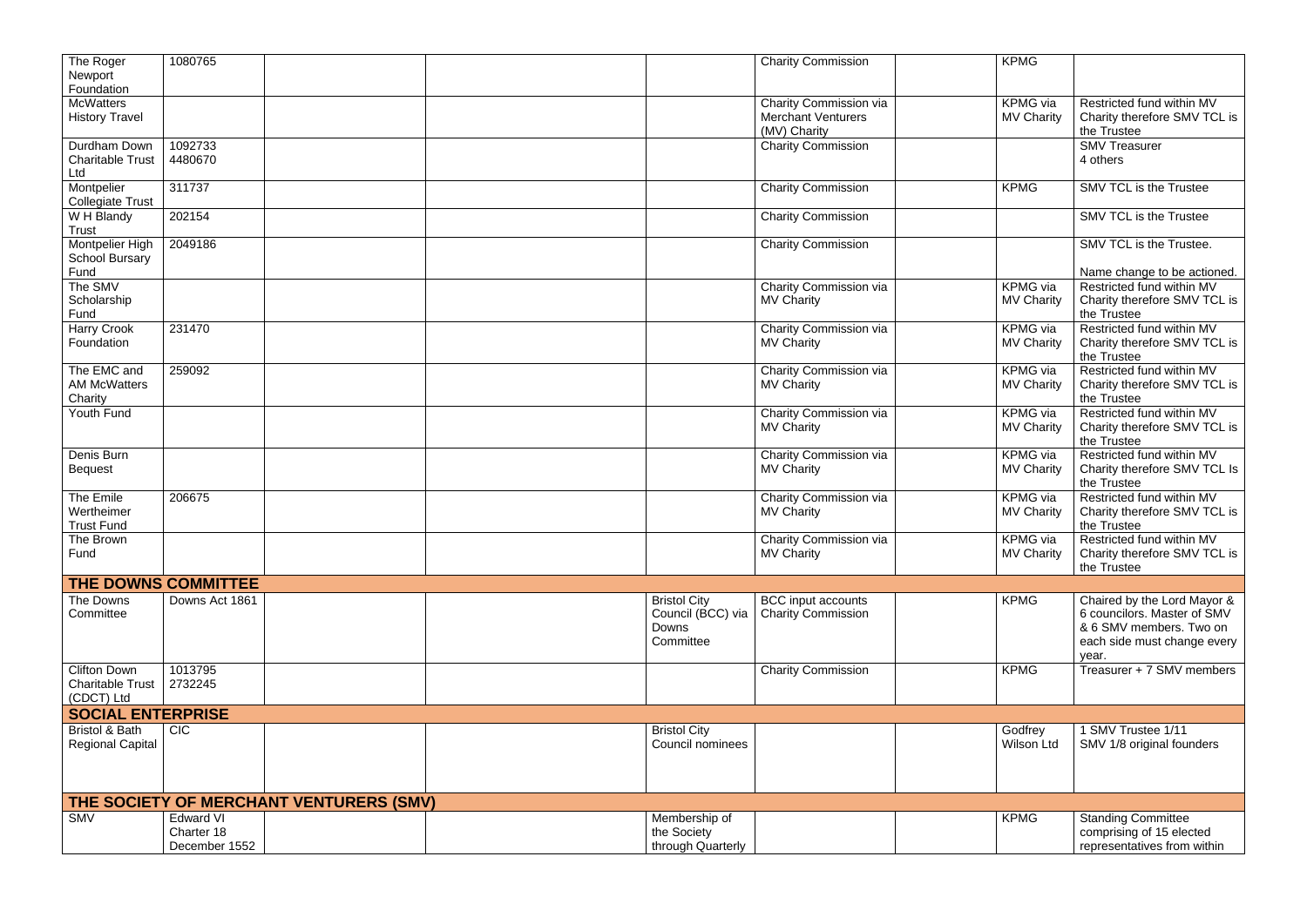| The Roger<br>Newport<br>Foundation                           | 1080765                     |                                         |                                                                | <b>Charity Commission</b>                                           | <b>KPMG</b>                          |                                                                                                                               |
|--------------------------------------------------------------|-----------------------------|-----------------------------------------|----------------------------------------------------------------|---------------------------------------------------------------------|--------------------------------------|-------------------------------------------------------------------------------------------------------------------------------|
| <b>McWatters</b><br><b>History Travel</b>                    |                             |                                         |                                                                | Charity Commission via<br><b>Merchant Venturers</b><br>(MV) Charity | KPMG via<br><b>MV Charity</b>        | Restricted fund within MV<br>Charity therefore SMV TCL is<br>the Trustee                                                      |
| Durdham Down<br><b>Charitable Trust</b><br>Ltd               | 1092733<br>4480670          |                                         |                                                                | <b>Charity Commission</b>                                           |                                      | <b>SMV Treasurer</b><br>4 others                                                                                              |
| Montpelier<br><b>Collegiate Trust</b>                        | 311737                      |                                         |                                                                | Charity Commission                                                  | <b>KPMG</b>                          | <b>SMV TCL is the Trustee</b>                                                                                                 |
| W H Blandy<br>Trust                                          | 202154                      |                                         |                                                                | <b>Charity Commission</b>                                           |                                      | <b>SMV TCL is the Trustee</b>                                                                                                 |
| Montpelier High<br><b>School Bursary</b><br>Fund             | 2049186                     |                                         |                                                                | <b>Charity Commission</b>                                           |                                      | SMV TCL is the Trustee.<br>Name change to be actioned.                                                                        |
| The SMV<br>Scholarship<br>Fund                               |                             |                                         |                                                                | Charity Commission via<br><b>MV Charity</b>                         | <b>KPMG</b> via<br><b>MV Charity</b> | Restricted fund within MV<br>Charity therefore SMV TCL is<br>the Trustee                                                      |
| <b>Harry Crook</b><br>Foundation                             | 231470                      |                                         |                                                                | Charity Commission via<br><b>MV Charity</b>                         | <b>KPMG</b> via<br><b>MV Charity</b> | Restricted fund within MV<br>Charity therefore SMV TCL is<br>the Trustee                                                      |
| The EMC and<br><b>AM McWatters</b><br>Charity                | 259092                      |                                         |                                                                | Charity Commission via<br><b>MV Charity</b>                         | <b>KPMG</b> via<br><b>MV Charity</b> | Restricted fund within MV<br>Charity therefore SMV TCL is<br>the Trustee                                                      |
| Youth Fund                                                   |                             |                                         |                                                                | Charity Commission via<br><b>MV Charity</b>                         | <b>KPMG</b> via<br><b>MV Charity</b> | Restricted fund within MV<br>Charity therefore SMV TCL is<br>the Trustee                                                      |
| Denis Burn<br><b>Bequest</b>                                 |                             |                                         |                                                                | Charity Commission via<br><b>MV Charity</b>                         | <b>KPMG</b> via<br><b>MV Charity</b> | Restricted fund within MV<br>Charity therefore SMV TCL Is<br>the Trustee                                                      |
| The Emile<br>Wertheimer<br><b>Trust Fund</b>                 | 206675                      |                                         |                                                                | Charity Commission via<br><b>MV Charity</b>                         | <b>KPMG</b> via<br><b>MV Charity</b> | Restricted fund within MV<br>Charity therefore SMV TCL is<br>the Trustee                                                      |
| The Brown<br>Fund                                            |                             |                                         |                                                                | Charity Commission via<br><b>MV Charity</b>                         | KPMG via<br><b>MV Charity</b>        | Restricted fund within MV<br>Charity therefore SMV TCL is<br>the Trustee                                                      |
|                                                              | THE DOWNS COMMITTEE         |                                         |                                                                |                                                                     |                                      |                                                                                                                               |
| The Downs<br>Committee                                       | Downs Act 1861              |                                         | <b>Bristol City</b><br>Council (BCC) via<br>Downs<br>Committee | <b>BCC</b> input accounts<br><b>Charity Commission</b>              | <b>KPMG</b>                          | Chaired by the Lord Mayor &<br>6 councilors. Master of SMV<br>& 6 SMV members. Two on<br>each side must change every<br>year. |
| <b>Clifton Down</b><br><b>Charitable Trust</b><br>(CDCT) Ltd | 1013795<br>2732245          |                                         |                                                                | <b>Charity Commission</b>                                           | <b>KPMG</b>                          | Treasurer + 7 SMV members                                                                                                     |
| <b>SOCIAL ENTERPRISE</b>                                     |                             |                                         |                                                                |                                                                     |                                      |                                                                                                                               |
| <b>Bristol &amp; Bath</b><br><b>Regional Capital</b>         | <b>CIC</b>                  |                                         | <b>Bristol City</b><br>Council nominees                        |                                                                     | Godfrey<br>Wilson Ltd                | 1 SMV Trustee 1/11<br>SMV 1/8 original founders                                                                               |
|                                                              |                             | THE SOCIETY OF MERCHANT VENTURERS (SMV) |                                                                |                                                                     |                                      |                                                                                                                               |
| <b>SMV</b>                                                   | Edward VI                   |                                         | Membership of                                                  |                                                                     | <b>KPMG</b>                          | <b>Standing Committee</b>                                                                                                     |
|                                                              | Charter 18<br>December 1552 |                                         | the Society<br>through Quarterly                               |                                                                     |                                      | comprising of 15 elected<br>representatives from within                                                                       |